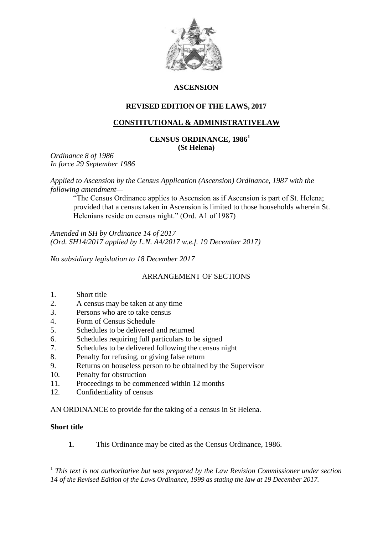

# **ASCENSION**

# **REVISED EDITION OF THE LAWS, 2017**

# **CONSTITUTIONAL & ADMINISTRATIVELAW**

### **CENSUS ORDINANCE, 1986<sup>1</sup> (St Helena)**

*Ordinance 8 of 1986 In force 29 September 1986*

*Applied to Ascension by the Census Application (Ascension) Ordinance, 1987 with the following amendment—*

"The Census Ordinance applies to Ascension as if Ascension is part of St. Helena; provided that a census taken in Ascension is limited to those households wherein St. Helenians reside on census night." (Ord. A1 of 1987)

*Amended in SH by Ordinance 14 of 2017 (Ord. SH14/2017 applied by L.N. A4/2017 w.e.f. 19 December 2017)*

*No subsidiary legislation to 18 December 2017*

# ARRANGEMENT OF SECTIONS

#### 1. Short title

- 2. A census may be taken at any time
- 3. Persons who are to take census
- 4. Form of Census Schedule
- 5. Schedules to be delivered and returned
- 6. Schedules requiring full particulars to be signed
- 7. Schedules to be delivered following the census night
- 8. Penalty for refusing, or giving false return
- 9. Returns on houseless person to be obtained by the Supervisor
- 10. Penalty for obstruction
- 11. Proceedings to be commenced within 12 months
- 12. Confidentiality of census

AN ORDINANCE to provide for the taking of a census in St Helena.

### **Short title**

1

**1.** This Ordinance may be cited as the Census Ordinance, 1986.

<sup>&</sup>lt;sup>1</sup> This text is not authoritative but was prepared by the Law Revision Commissioner under section *14 of the Revised Edition of the Laws Ordinance, 1999 as stating the law at 19 December 2017.*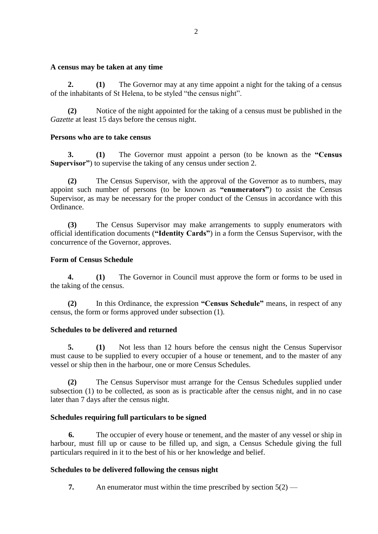#### **A census may be taken at any time**

**2. (1)** The Governor may at any time appoint a night for the taking of a census of the inhabitants of St Helena, to be styled "the census night".

**(2)** Notice of the night appointed for the taking of a census must be published in the *Gazette* at least 15 days before the census night.

### **Persons who are to take census**

**3. (1)** The Governor must appoint a person (to be known as the **"Census Supervisor"**) to supervise the taking of any census under section 2.

**(2)** The Census Supervisor, with the approval of the Governor as to numbers, may appoint such number of persons (to be known as **"enumerators"**) to assist the Census Supervisor, as may be necessary for the proper conduct of the Census in accordance with this Ordinance.

**(3)** The Census Supervisor may make arrangements to supply enumerators with official identification documents (**"Identity Cards"**) in a form the Census Supervisor, with the concurrence of the Governor, approves.

### **Form of Census Schedule**

**4. (1)** The Governor in Council must approve the form or forms to be used in the taking of the census.

**(2)** In this Ordinance, the expression **"Census Schedule"** means, in respect of any census, the form or forms approved under subsection (1).

### **Schedules to be delivered and returned**

**5. (1)** Not less than 12 hours before the census night the Census Supervisor must cause to be supplied to every occupier of a house or tenement, and to the master of any vessel or ship then in the harbour, one or more Census Schedules.

**(2)** The Census Supervisor must arrange for the Census Schedules supplied under subsection (1) to be collected, as soon as is practicable after the census night, and in no case later than 7 days after the census night.

### **Schedules requiring full particulars to be signed**

**6.** The occupier of every house or tenement, and the master of any vessel or ship in harbour, must fill up or cause to be filled up, and sign, a Census Schedule giving the full particulars required in it to the best of his or her knowledge and belief.

### **Schedules to be delivered following the census night**

**7.** An enumerator must within the time prescribed by section  $5(2)$  —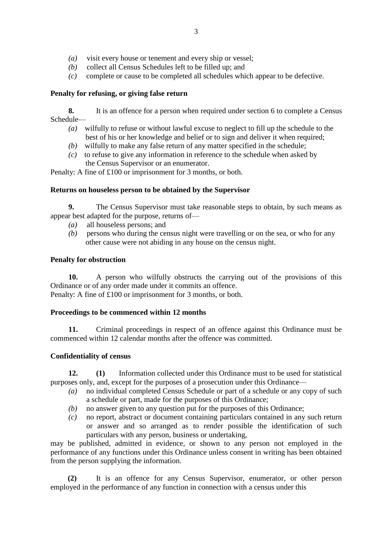- *(a)* visit every house or tenement and every ship or vessel;
- *(b)* collect all Census Schedules left to be filled up; and
- *(c)* complete or cause to be completed all schedules which appear to be defective.

# **Penalty for refusing, or giving false return**

**8.** It is an offence for a person when required under section 6 to complete a Census Schedule—

- *(a)* wilfully to refuse or without lawful excuse to neglect to fill up the schedule to the best of his or her knowledge and belief or to sign and deliver it when required;
- *(b)* wilfully to make any false return of any matter specified in the schedule;
- *(c)* to refuse to give any information in reference to the schedule when asked by the Census Supervisor or an enumerator.

Penalty: A fine of £100 or imprisonment for 3 months, or both.

# **Returns on houseless person to be obtained by the Supervisor**

**9.** The Census Supervisor must take reasonable steps to obtain, by such means as appear best adapted for the purpose, returns of—

- *(a)* all houseless persons; and
- *(b)* persons who during the census night were travelling or on the sea, or who for any other cause were not abiding in any house on the census night.

# **Penalty for obstruction**

**10.** A person who wilfully obstructs the carrying out of the provisions of this Ordinance or of any order made under it commits an offence. Penalty: A fine of £100 or imprisonment for 3 months, or both.

### **Proceedings to be commenced within 12 months**

**11.** Criminal proceedings in respect of an offence against this Ordinance must be commenced within 12 calendar months after the offence was committed.

# **Confidentiality of census**

**12. (1)** Information collected under this Ordinance must to be used for statistical purposes only, and, except for the purposes of a prosecution under this Ordinance—

- *(a)* no individual completed Census Schedule or part of a schedule or any copy of such a schedule or part, made for the purposes of this Ordinance;
- *(b)* no answer given to any question put for the purposes of this Ordinance;
- *(c)* no report, abstract or document containing particulars contained in any such return or answer and so arranged as to render possible the identification of such particulars with any person, business or undertaking,

may be published, admitted in evidence, or shown to any person not employed in the performance of any functions under this Ordinance unless consent in writing has been obtained from the person supplying the information.

**(2)** It is an offence for any Census Supervisor, enumerator, or other person employed in the performance of any function in connection with a census under this